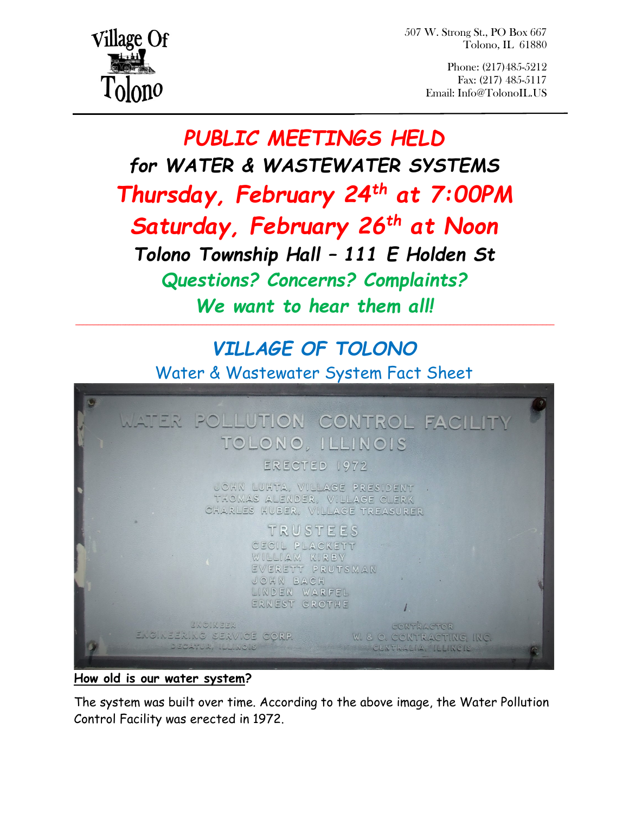507 W. Strong St., PO Box 667 Tolono, IL 61880



Phone: (217)485-5212 Fax: (217) 485-5117 Email: Info@TolonoIL.US

# PUBLIC MEETINGS HELD for WATER & WASTEWATER SYSTEMS Thursday, February 24<sup>th</sup> at 7:00PM Saturday, February 26<sup>th</sup> at Noon Tolono Township Hall – 111 E Holden St Questions? Concerns? Complaints? We want to hear them all!  $\mathcal{L}_\mathcal{L} = \{ \mathcal{L}_\mathcal{L} = \{ \mathcal{L}_\mathcal{L} = \{ \mathcal{L}_\mathcal{L} = \{ \mathcal{L}_\mathcal{L} = \{ \mathcal{L}_\mathcal{L} = \{ \mathcal{L}_\mathcal{L} = \{ \mathcal{L}_\mathcal{L} = \{ \mathcal{L}_\mathcal{L} = \{ \mathcal{L}_\mathcal{L} = \{ \mathcal{L}_\mathcal{L} = \{ \mathcal{L}_\mathcal{L} = \{ \mathcal{L}_\mathcal{L} = \{ \mathcal{L}_\mathcal{L} = \{ \mathcal{L}_\mathcal{$

## VILLAGE OF TOLONO

Water & Wastewater System Fact Sheet



#### How old is our water system?

The system was built over time. According to the above image, the Water Pollution Control Facility was erected in 1972.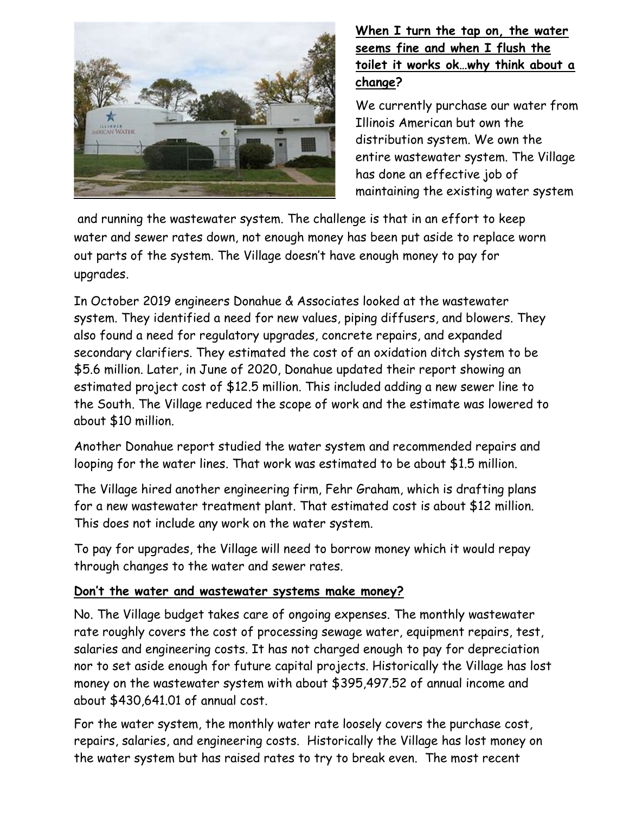

#### When I turn the tap on, the water seems fine and when I flush the toilet it works ok…why think about a change?

We currently purchase our water from Illinois American but own the distribution system. We own the entire wastewater system. The Village has done an effective job of maintaining the existing water system

 and running the wastewater system. The challenge is that in an effort to keep water and sewer rates down, not enough money has been put aside to replace worn out parts of the system. The Village doesn't have enough money to pay for upgrades.  $\alpha$  running the wastewater system.

In October 2019 engineers Donahue & Associates looked at the wastewater system. They identified a need for new values, piping diffusers, and blowers. They also found a need for regulatory upgrades, concrete repairs, and expanded secondary clarifiers. They estimated the cost of an oxidation ditch system to be \$5.6 million. Later, in June of 2020, Donahue updated their report showing an estimated project cost of \$12.5 million. This included adding a new sewer line to the South. The Village reduced the scope of work and the estimate was lowered to about \$10 million.

Another Donahue report studied the water system and recommended repairs and looping for the water lines. That work was estimated to be about \$1.5 million.

The Village hired another engineering firm, Fehr Graham, which is drafting plans for a new wastewater treatment plant. That estimated cost is about \$12 million. This does not include any work on the water system.

To pay for upgrades, the Village will need to borrow money which it would repay through changes to the water and sewer rates.

#### Don't the water and wastewater systems make money?

No. The Village budget takes care of ongoing expenses. The monthly wastewater rate roughly covers the cost of processing sewage water, equipment repairs, test, salaries and engineering costs. It has not charged enough to pay for depreciation nor to set aside enough for future capital projects. Historically the Village has lost money on the wastewater system with about \$395,497.52 of annual income and about \$430,641.01 of annual cost.

For the water system, the monthly water rate loosely covers the purchase cost, repairs, salaries, and engineering costs. Historically the Village has lost money on the water system but has raised rates to try to break even. The most recent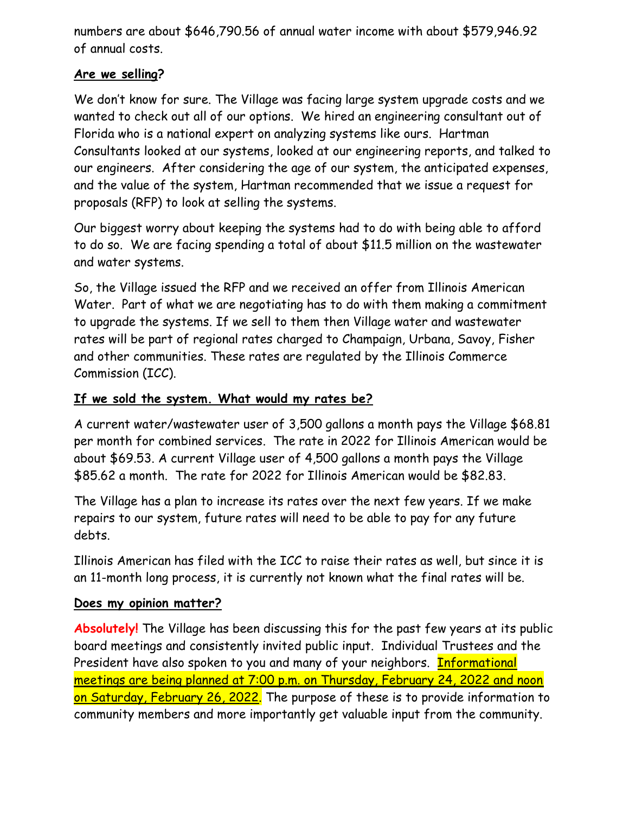numbers are about \$646,790.56 of annual water income with about \$579,946.92 of annual costs.

#### Are we selling?

We don't know for sure. The Village was facing large system upgrade costs and we wanted to check out all of our options. We hired an engineering consultant out of Florida who is a national expert on analyzing systems like ours. Hartman Consultants looked at our systems, looked at our engineering reports, and talked to our engineers. After considering the age of our system, the anticipated expenses, and the value of the system, Hartman recommended that we issue a request for proposals (RFP) to look at selling the systems.

Our biggest worry about keeping the systems had to do with being able to afford to do so. We are facing spending a total of about \$11.5 million on the wastewater and water systems.

So, the Village issued the RFP and we received an offer from Illinois American Water. Part of what we are negotiating has to do with them making a commitment to upgrade the systems. If we sell to them then Village water and wastewater rates will be part of regional rates charged to Champaign, Urbana, Savoy, Fisher and other communities. These rates are regulated by the Illinois Commerce Commission (ICC).

#### If we sold the system. What would my rates be?

A current water/wastewater user of 3,500 gallons a month pays the Village \$68.81 per month for combined services. The rate in 2022 for Illinois American would be about \$69.53. A current Village user of 4,500 gallons a month pays the Village \$85.62 a month. The rate for 2022 for Illinois American would be \$82.83.

The Village has a plan to increase its rates over the next few years. If we make repairs to our system, future rates will need to be able to pay for any future debts.

Illinois American has filed with the ICC to raise their rates as well, but since it is an 11-month long process, it is currently not known what the final rates will be.

#### Does my opinion matter?

Absolutely! The Village has been discussing this for the past few years at its public board meetings and consistently invited public input. Individual Trustees and the President have also spoken to you and many of your neighbors. **Informational** meetings are being planned at 7:00 p.m. on Thursday, February 24, 2022 and noon on Saturday, February 26, 2022. The purpose of these is to provide information to community members and more importantly get valuable input from the community.